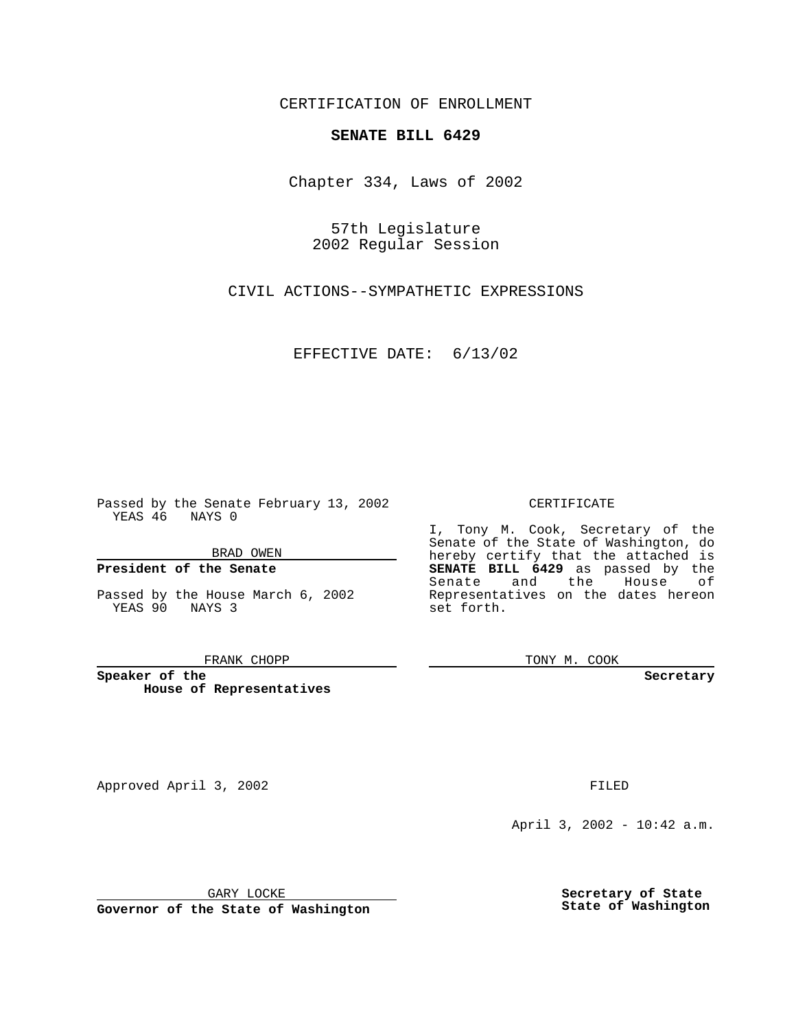CERTIFICATION OF ENROLLMENT

# **SENATE BILL 6429**

Chapter 334, Laws of 2002

57th Legislature 2002 Regular Session

CIVIL ACTIONS--SYMPATHETIC EXPRESSIONS

EFFECTIVE DATE: 6/13/02

Passed by the Senate February 13, 2002 YEAS 46 NAYS 0

BRAD OWEN

### **President of the Senate**

Passed by the House March 6, 2002 YEAS 90 NAYS 3

#### FRANK CHOPP

**Speaker of the House of Representatives**

April 3, 2002 - 10:42 a.m.

GARY LOCKE

**Governor of the State of Washington**

**Secretary of State State of Washington**

#### CERTIFICATE

I, Tony M. Cook, Secretary of the Senate of the State of Washington, do hereby certify that the attached is **SENATE BILL 6429** as passed by the Senate and the House of Representatives on the dates hereon set forth.

TONY M. COOK

**Secretary**

Approved April 3, 2002 **FILED**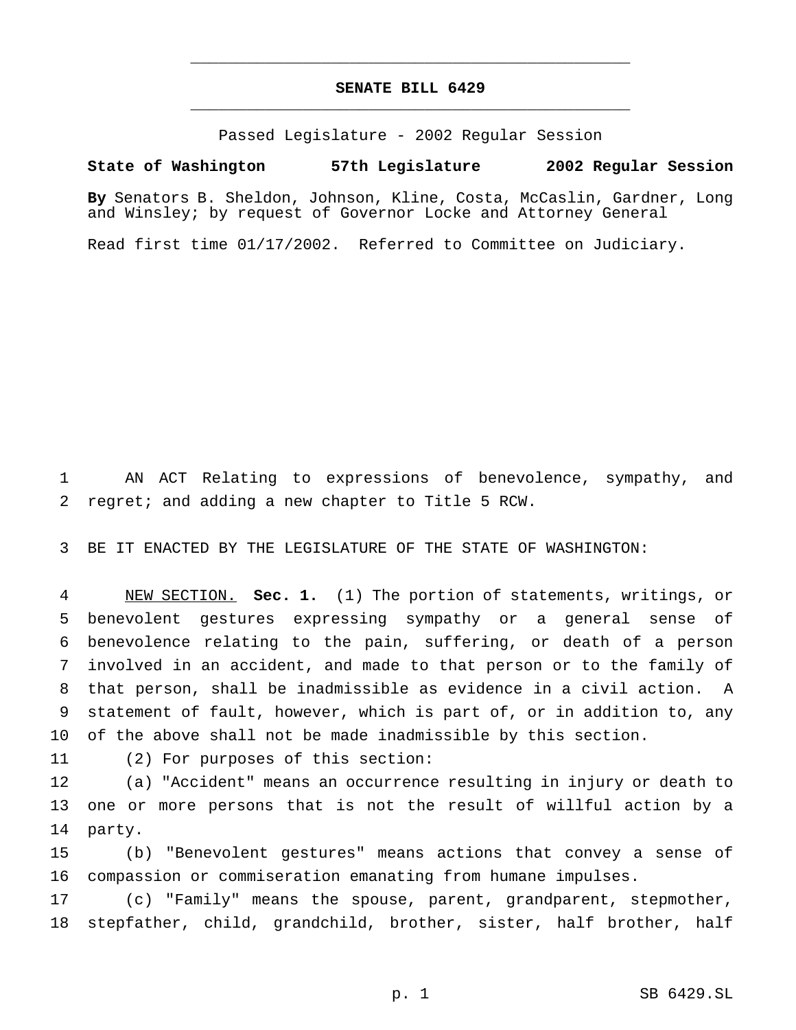# **SENATE BILL 6429** \_\_\_\_\_\_\_\_\_\_\_\_\_\_\_\_\_\_\_\_\_\_\_\_\_\_\_\_\_\_\_\_\_\_\_\_\_\_\_\_\_\_\_\_\_\_\_

\_\_\_\_\_\_\_\_\_\_\_\_\_\_\_\_\_\_\_\_\_\_\_\_\_\_\_\_\_\_\_\_\_\_\_\_\_\_\_\_\_\_\_\_\_\_\_

Passed Legislature - 2002 Regular Session

### **State of Washington 57th Legislature 2002 Regular Session**

**By** Senators B. Sheldon, Johnson, Kline, Costa, McCaslin, Gardner, Long and Winsley; by request of Governor Locke and Attorney General

Read first time 01/17/2002. Referred to Committee on Judiciary.

 AN ACT Relating to expressions of benevolence, sympathy, and regret; and adding a new chapter to Title 5 RCW.

BE IT ENACTED BY THE LEGISLATURE OF THE STATE OF WASHINGTON:

 NEW SECTION. **Sec. 1.** (1) The portion of statements, writings, or benevolent gestures expressing sympathy or a general sense of benevolence relating to the pain, suffering, or death of a person involved in an accident, and made to that person or to the family of that person, shall be inadmissible as evidence in a civil action. A statement of fault, however, which is part of, or in addition to, any of the above shall not be made inadmissible by this section.

(2) For purposes of this section:

 (a) "Accident" means an occurrence resulting in injury or death to one or more persons that is not the result of willful action by a party.

 (b) "Benevolent gestures" means actions that convey a sense of compassion or commiseration emanating from humane impulses.

 (c) "Family" means the spouse, parent, grandparent, stepmother, stepfather, child, grandchild, brother, sister, half brother, half